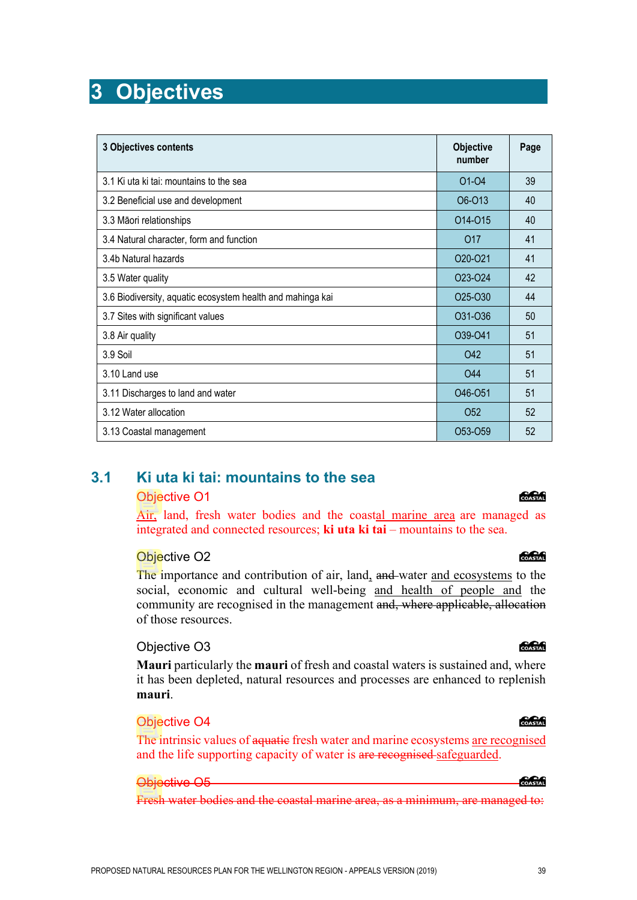# **3 Objectives**

| 3 Objectives contents                                      | <b>Objective</b><br>number       | Page |
|------------------------------------------------------------|----------------------------------|------|
| 3.1 Ki uta ki tai: mountains to the sea                    | 01-04                            | 39   |
| 3.2 Beneficial use and development                         | O <sub>6</sub> -013              | 40   |
| 3.3 Māori relationships                                    | 014-015                          | 40   |
| 3.4 Natural character, form and function                   | O <sub>17</sub>                  | 41   |
| 3.4b Natural hazards                                       | 020-021                          | 41   |
| 3.5 Water quality                                          | 023-024                          | 42   |
| 3.6 Biodiversity, aquatic ecosystem health and mahinga kai | 025-030                          | 44   |
| 3.7 Sites with significant values                          | O31-O36                          | 50   |
| 3.8 Air quality                                            | O39-O41                          | 51   |
| 3.9 Soil                                                   | <b>O42</b>                       | 51   |
| 3.10 Land use                                              | O44                              | 51   |
| 3.11 Discharges to land and water                          | O46-O51                          | 51   |
| 3.12 Water allocation                                      | O <sub>52</sub>                  | 52   |
| 3.13 Coastal management                                    | O <sub>53</sub> -O <sub>59</sub> | 52   |

### **3.1 Ki uta ki tai: mountains to the sea**

#### Objective O1

Air, land, fresh water bodies and the coastal marine area are managed as integrated and connected resources; **ki uta ki tai** – mountains to the sea.

#### Objective O2

The importance and contribution of air, land, and water and ecosystems to the social, economic and cultural well-being and health of people and the community are recognised in the management and, where applicable, allocation of those resources.

### Objective O3

**Mauri** particularly the **mauri** of fresh and coastal waters is sustained and, where it has been depleted, natural resources and processes are enhanced to replenish **mauri**.

#### Objective O4

The intrinsic values of aquatic fresh water and marine ecosystems <u>are recognised</u> and the life supporting capacity of water is are recognised safeguarded.

#### Objective O5

Fresh water bodies and the coastal marine area, as a minimum, are managed to:

#### COASTAL

#### COASTAL

#### COASTAL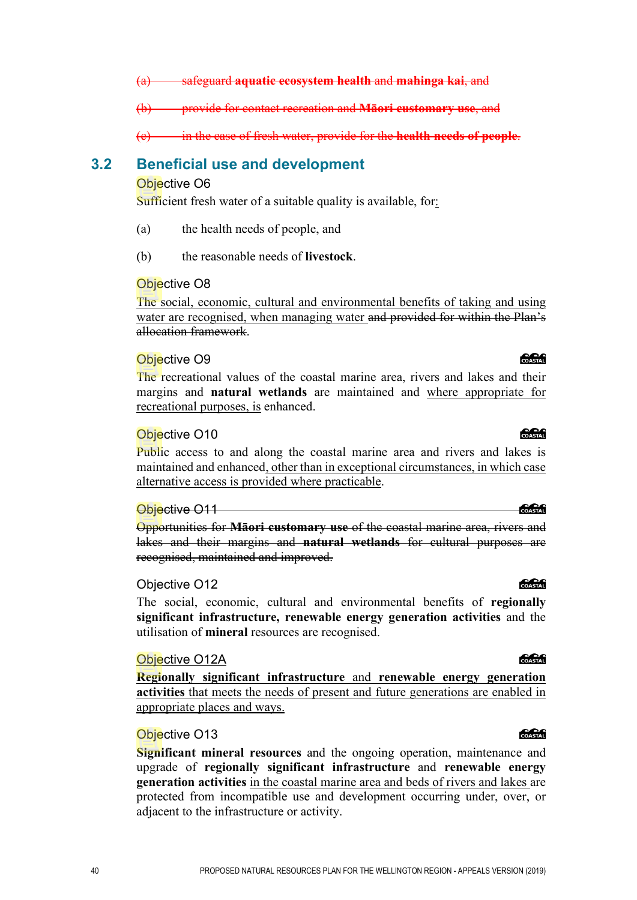(a) safeguard **aquatic ecosystem health** and **mahinga kai**, and

(b) provide for contact recreation and **Māori customary use**, and

(c) in the case of fresh water, provide for the **health needs of people**.

#### **3.2 Beneficial use and development**

#### Objective O6

Sufficient fresh water of a suitable quality is available, for:

- (a) the health needs of people, and
- (b) the reasonable needs of **livestock**.

#### Objective O8

The social, economic, cultural and environmental benefits of taking and using water are recognised, when managing water and provided for within the Plan's allocation framework.

#### Objective O9

The recreational values of the coastal marine area, rivers and lakes and their margins and **natural wetlands** are maintained and where appropriate for recreational purposes, is enhanced.

#### Objective O10

Public access to and along the coastal marine area and rivers and lakes is maintained and enhanced, other than in exceptional circumstances, in which case alternative access is provided where practicable.

#### Objective O11

Opportunities for **Māori customary use** of the coastal marine area, rivers and lakes and their margins and **natural wetlands** for cultural purposes are recognised, maintained and improved.

#### Objective O12

The social, economic, cultural and environmental benefits of **regionally significant infrastructure, renewable energy generation activities** and the utilisation of **mineral** resources are recognised.

#### Objective O12A

**Regionally significant infrastructure** and **renewable energy generation activities** that meets the needs of present and future generations are enabled in appropriate places and ways.

#### Objective O13

**Significant mineral resources** and the ongoing operation, maintenance and upgrade of **regionally significant infrastructure** and **renewable energy generation activities** in the coastal marine area and beds of rivers and lakes are protected from incompatible use and development occurring under, over, or adjacent to the infrastructure or activity.

#### **COASTAT**

#### COASTAL

# COASTAL

COASTAL

COASTAL

**CACAG**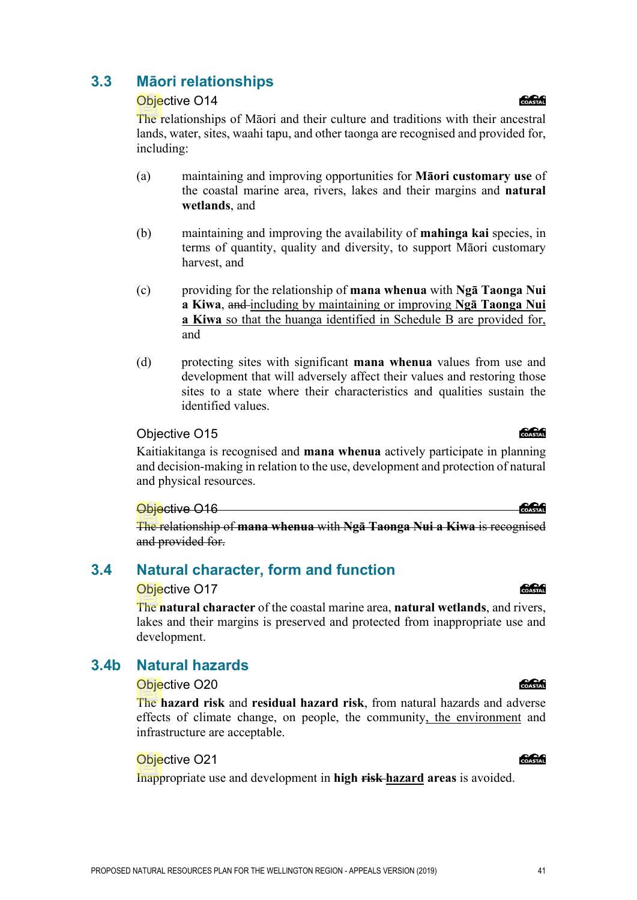### **3.3 Māori relationships**

#### Objective O14

The relationships of Māori and their culture and traditions with their ancestral lands, water, sites, waahi tapu, and other taonga are recognised and provided for, including:

- (a) maintaining and improving opportunities for **Māori customary use** of the coastal marine area, rivers, lakes and their margins and **natural wetlands**, and
- (b) maintaining and improving the availability of **mahinga kai** species, in terms of quantity, quality and diversity, to support Māori customary harvest, and
- (c) providing for the relationship of **mana whenua** with **Ngā Taonga Nui a Kiwa**, and including by maintaining or improving **Ngā Taonga Nui a Kiwa** so that the huanga identified in Schedule B are provided for, and
- (d) protecting sites with significant **mana whenua** values from use and development that will adversely affect their values and restoring those sites to a state where their characteristics and qualities sustain the identified values.

#### Objective O15

Kaitiakitanga is recognised and **mana whenua** actively participate in planning and decision-making in relation to the use, development and protection of natural and physical resources.

#### Objective O16

The relationship of **mana whenua** with **Ngā Taonga Nui a Kiwa** is recognised and provided for.

### **3.4 Natural character, form and function**

#### Objective O17

The **natural character** of the coastal marine area, **natural wetlands**, and rivers, lakes and their margins is preserved and protected from inappropriate use and development.

### **3.4b Natural hazards**

#### Objective O20

The **hazard risk** and **residual hazard risk**, from natural hazards and adverse effects of climate change, on people, the community, the environment and infrastructure are acceptable.

#### Objective O21

Inappropriate use and development in **high risk hazard areas** is avoided.

#### **Concept**

#### **COCO**

**COASTAL** 

#### COASTAL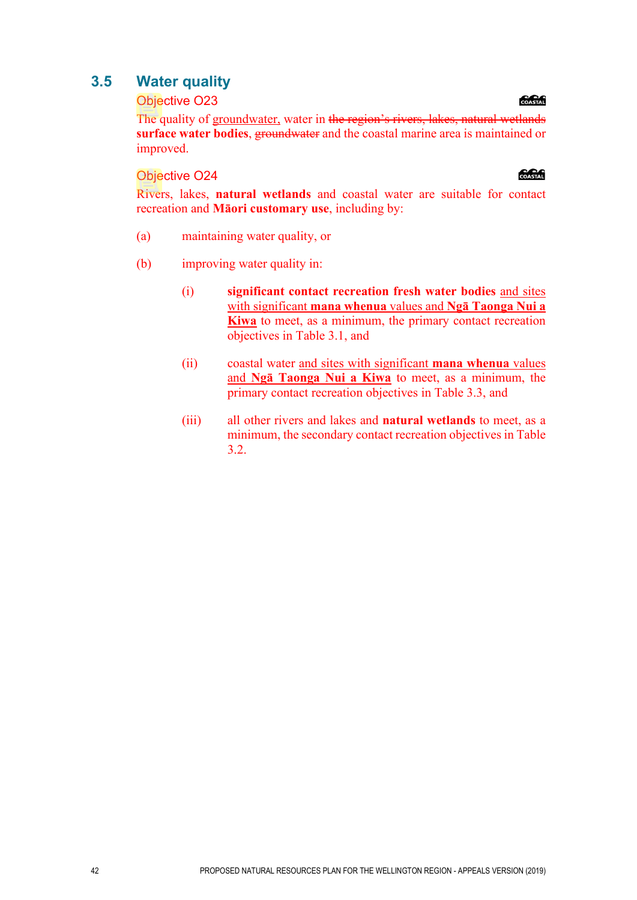### **3.5 Water quality**

#### Objective O23

The quality of groundwater, water in the region's rivers, lakes, natural wetlands **surface water bodies**, groundwater and the coastal marine area is maintained or improved.

#### Objective O24

Rivers, lakes, **natural wetlands** and coastal water are suitable for contact recreation and **Māori customary use**, including by:

- (a) maintaining water quality, or
- (b) improving water quality in:
	- (i) **significant contact recreation fresh water bodies** and sites with significant **mana whenua** values and **Ngā Taonga Nui a Kiwa** to meet, as a minimum, the primary contact recreation objectives in Table 3.1, and
	- (ii) coastal water and sites with significant **mana whenua** values and **Ngā Taonga Nui a Kiwa** to meet, as a minimum, the primary contact recreation objectives in Table 3.3, and
	- (iii) all other rivers and lakes and **natural wetlands** to meet, as a minimum, the secondary contact recreation objectives in Table 3.2.

#### COASTAL

#### **anan**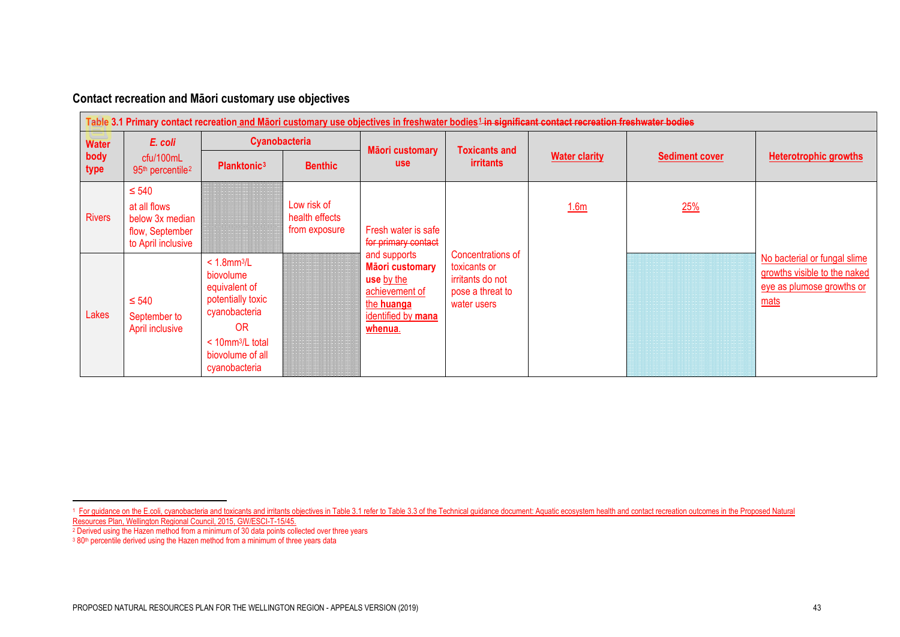<span id="page-4-2"></span><span id="page-4-1"></span><span id="page-4-0"></span>

| Contact recreation and Māori customary use objectives |  |  |
|-------------------------------------------------------|--|--|
|-------------------------------------------------------|--|--|

|                              | Table 3.1 Primary contact recreation and Māori customary use objectives in freshwater bodies <sup>1</sup> in significant contact recreation freshwater bodies |                                                                                                                                                                               |                                                |                                                                                                                       |                                                                                          |                      |                       |                                                                                                   |  |  |
|------------------------------|---------------------------------------------------------------------------------------------------------------------------------------------------------------|-------------------------------------------------------------------------------------------------------------------------------------------------------------------------------|------------------------------------------------|-----------------------------------------------------------------------------------------------------------------------|------------------------------------------------------------------------------------------|----------------------|-----------------------|---------------------------------------------------------------------------------------------------|--|--|
| <b>Water</b><br>body<br>type | E. coli                                                                                                                                                       | Cyanobacteria                                                                                                                                                                 |                                                | Māori customary                                                                                                       | <b>Toxicants and</b>                                                                     |                      |                       |                                                                                                   |  |  |
|                              | cfu/100mL<br>95 <sup>th</sup> percentile <sup>2</sup>                                                                                                         | Planktonic <sup>3</sup>                                                                                                                                                       | <b>Benthic</b>                                 | <b>use</b>                                                                                                            | <i>irritants</i>                                                                         | <b>Water clarity</b> | <b>Sediment cover</b> | <b>Heterotrophic growths</b>                                                                      |  |  |
| <b>Rivers</b>                | $\leq 540$<br>at all flows<br>below 3x median<br>flow, September<br>to April inclusive                                                                        |                                                                                                                                                                               | Low risk of<br>health effects<br>from exposure | Fresh water is safe<br>for primary contact                                                                            |                                                                                          | 1.6 <sub>m</sub>     | 25%                   |                                                                                                   |  |  |
| Lakes                        | $\leq 540$<br>September to<br>April inclusive                                                                                                                 | $< 1.8$ mm $3/L$<br>biovolume<br>equivalent of<br>potentially toxic<br>cyanobacteria<br>0 <sub>R</sub><br>$<$ 10mm <sup>3</sup> /L total<br>biovolume of all<br>cyanobacteria |                                                | and supports<br><b>Māori customary</b><br>use by the<br>achievement of<br>the huanga<br>identified by mana<br>whenua. | Concentrations of<br>toxicants or<br>irritants do not<br>pose a threat to<br>water users |                      |                       | No bacterial or fungal slime<br>growths visible to the naked<br>eye as plumose growths or<br>mats |  |  |

<sup>&</sup>lt;sup>1</sup> For guidance on the E.coli, cyanobacteria and toxicants and irritants objectives in Table 3.1 refer to Table 3.3 of the Technical guidance document: Aquatic ecosystem health and contact recreation outcomes in the Propo Resources Plan, Wellington Regional Council, 2015, GW/ESCI-T-15/45.

<sup>2</sup> Derived using the Hazen method from a minimum of 30 data points collected over three years

<sup>&</sup>lt;sup>3</sup> 80<sup>th</sup> percentile derived using the Hazen method from a minimum of three years data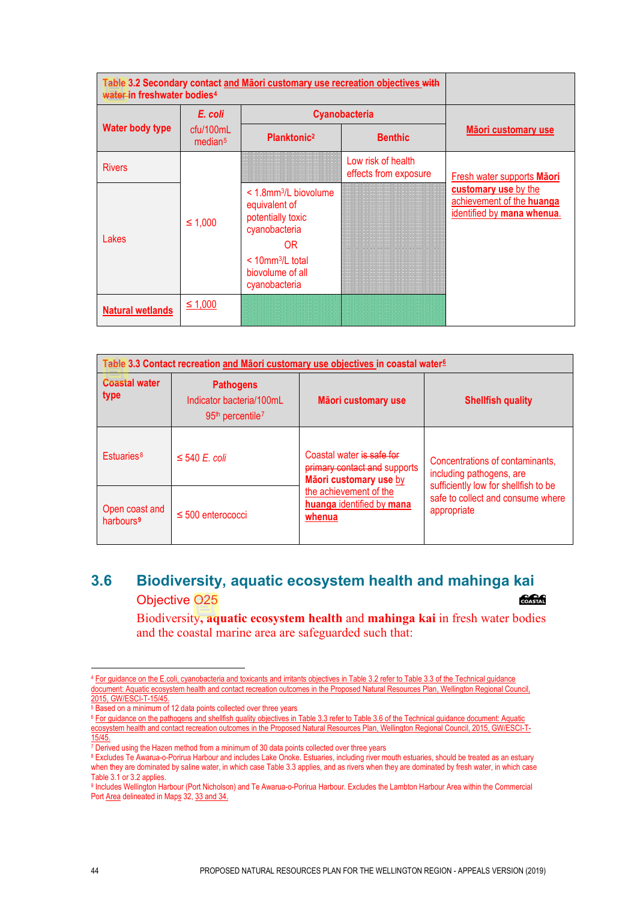| water-in freshwater bodies <sup>4</sup> |                                  |                                                                                                                                                                | Table 3.2 Secondary contact and Māori customary use recreation objectives with |                                                                                 |  |  |
|-----------------------------------------|----------------------------------|----------------------------------------------------------------------------------------------------------------------------------------------------------------|--------------------------------------------------------------------------------|---------------------------------------------------------------------------------|--|--|
|                                         | E. coli                          |                                                                                                                                                                | Cyanobacteria                                                                  |                                                                                 |  |  |
| <b>Water body type</b>                  | ctu/100mL<br>median <sup>5</sup> | Planktonic <sup>2</sup>                                                                                                                                        | <b>Benthic</b>                                                                 | Māori customary use                                                             |  |  |
| <b>Rivers</b>                           |                                  |                                                                                                                                                                | Low risk of health<br>effects from exposure                                    | Fresh water supports Maori                                                      |  |  |
| Lakes                                   | $\leq 1,000$                     | $<$ 1.8mm <sup>3</sup> /L biovolume<br>equivalent of<br>potentially toxic<br>cyanobacteria<br>0R<br>$< 10$ mm $3/L$ total<br>biovolume of all<br>cyanobacteria |                                                                                | customary use by the<br>achievement of the huanga<br>identified by mana whenua. |  |  |
| <b>Natural wetlands</b>                 | ≤ 1,000                          |                                                                                                                                                                |                                                                                |                                                                                 |  |  |

| Table 3.3 Contact recreation and Māori customary use objectives in coastal water <sup>6</sup> |                                                                                |                                                                                     |                                                                                          |  |  |  |  |
|-----------------------------------------------------------------------------------------------|--------------------------------------------------------------------------------|-------------------------------------------------------------------------------------|------------------------------------------------------------------------------------------|--|--|--|--|
| <b>Coastal water</b><br>type                                                                  | <b>Pathogens</b><br>Indicator bacteria/100mL<br>$95th$ percentile <sup>7</sup> | Māori customary use                                                                 | <b>Shellfish quality</b>                                                                 |  |  |  |  |
| Estuaries <sup>8</sup>                                                                        | $\leq$ 540 E. coli                                                             | Coastal water is safe for<br>primary contact and supports<br>Māori customary use by | Concentrations of contaminants,<br>including pathogens, are                              |  |  |  |  |
| Open coast and<br>harbours <sup>9</sup>                                                       | $\leq 500$ enterococci                                                         | the achievement of the<br>huanga identified by mana<br>whenua                       | sufficiently low for shellfish to be<br>safe to collect and consume where<br>appropriate |  |  |  |  |

#### **3.6 Biodiversity, aquatic ecosystem health and mahinga kai** Objective O25 COASTAL

Biodiversity**, aquatic ecosystem health** and **mahinga kai** in fresh water bodies and the coastal marine area are safeguarded such that:

<span id="page-5-2"></span><span id="page-5-1"></span><sup>6</sup> For guidance on the pathogens and shellfish quality objectives in Table 3.3 refer to Table 3.6 of the Technical guidance document: Aquatic ecosystem health and contact recreation outcomes in the Proposed Natural Resources Plan, Wellington Regional Council, 2015, GW/ESCI-T-15/45.

<span id="page-5-0"></span><sup>4</sup> For guidance on the E.coli, cyanobacteria and toxicants and irritants objectives in Table 3.2 refer to Table 3.3 of the Technical guidance document: Aquatic ecosystem health and contact recreation outcomes in the Proposed Natural Resources Plan, Wellington Regional Council, 2015, GW/ESCI-T-15/45.

 $5$  Based on a minimum of 12 data points collected over three years

<span id="page-5-3"></span> $7$  Derived using the Hazen method from a minimum of 30 data points collected over three years

<span id="page-5-4"></span><sup>8</sup> Excludes Te Awarua-o-Porirua Harbour and includes Lake Onoke. Estuaries, including river mouth estuaries, should be treated as an estuary when they are dominated by saline water, in which case Table 3.3 applies, and as rivers when they are dominated by fresh water, in which case Table 3.1 or 3.2 applies.

<span id="page-5-5"></span><sup>9</sup> Includes Wellington Harbour (Port Nicholson) and Te Awarua-o-Porirua Harbour. Excludes the Lambton Harbour Area within the Commercial Port Area delineated in Maps 32, 33 and 34.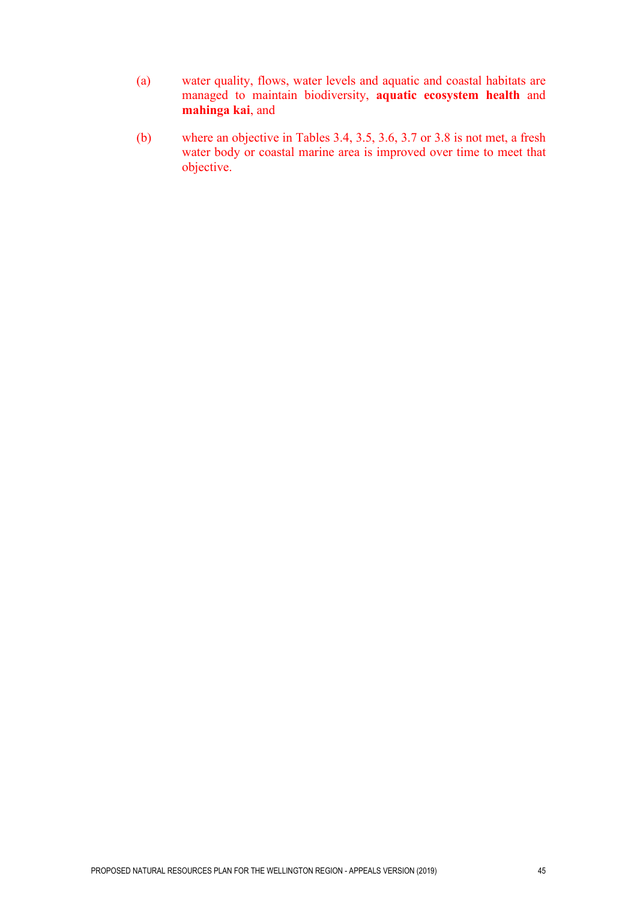- (a) water quality, flows, water levels and aquatic and coastal habitats are managed to maintain biodiversity, **aquatic ecosystem health** and **mahinga kai**, and
- (b) where an objective in Tables 3.4, 3.5, 3.6, 3.7 or 3.8 is not met, a fresh water body or coastal marine area is improved over time to meet that objective.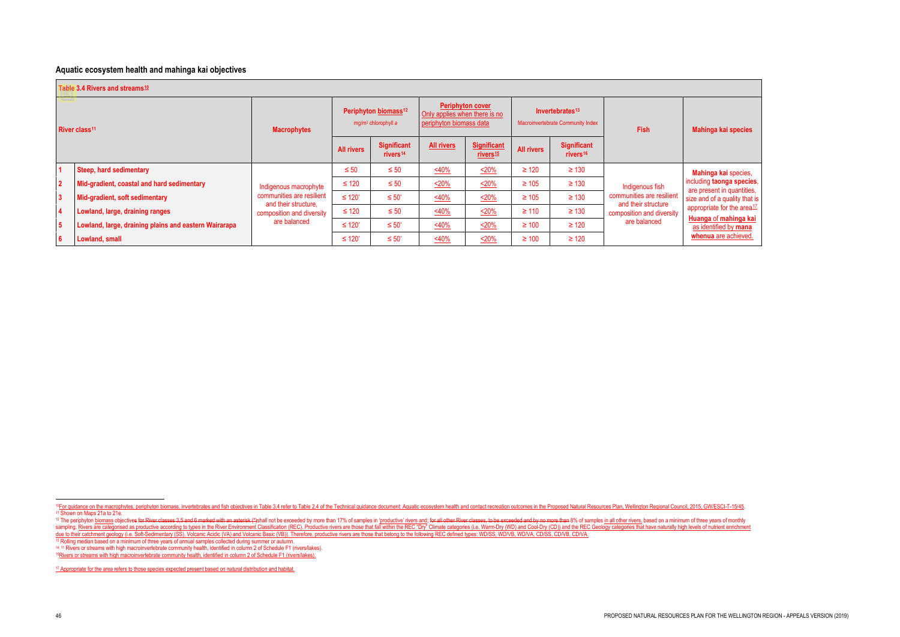#### **Aquatic ecosystem health and mahinga kai objectives**

<span id="page-7-7"></span><span id="page-7-6"></span><span id="page-7-5"></span><span id="page-7-4"></span><span id="page-7-3"></span><span id="page-7-2"></span><span id="page-7-1"></span><span id="page-7-0"></span>

**Mahinga kai** species, including **taonga species**, are present in quantities, size and of a quality that is appropriate for the area<sup>[17](#page-7-7)</sup>

|                           | Table 3.4 Rivers and streams <sup>10</sup>            |                                                                   |                                                                     |                                            |                                                                                     |                                            |                                                                  |                                            |                                                  |  |  |
|---------------------------|-------------------------------------------------------|-------------------------------------------------------------------|---------------------------------------------------------------------|--------------------------------------------|-------------------------------------------------------------------------------------|--------------------------------------------|------------------------------------------------------------------|--------------------------------------------|--------------------------------------------------|--|--|
| River class <sup>11</sup> |                                                       | <b>Macrophytes</b>                                                | Periphyton biomass <sup>12</sup><br>mg/m <sup>2</sup> chlorophyll a |                                            | <b>Periphyton cover</b><br>Only applies when there is no<br>periphyton biomass data |                                            | Invertebrates <sup>13</sup><br>Macroinvertebrate Community Index |                                            | <b>Fish</b>                                      |  |  |
|                           |                                                       |                                                                   | <b>All rivers</b>                                                   | <b>Significant</b><br>rivers <sup>14</sup> | <b>All rivers</b>                                                                   | <b>Significant</b><br>rivers <sup>15</sup> | <b>All rivers</b>                                                | <b>Significant</b><br>rivers <sup>16</sup> |                                                  |  |  |
|                           | <b>Steep, hard sedimentary</b>                        |                                                                   | $\leq 50$                                                           | $\leq 50$                                  | 540%                                                                                | 520%                                       | $\geq 120$                                                       | $\geq 130$                                 | Indigenous fish                                  |  |  |
| $\overline{2}$            | Mid-gradient, coastal and hard sedimentary            | Indigenous macrophyte                                             | $\leq 120$                                                          | $\leq 50$                                  | 520%                                                                                | <u>&lt;20%</u>                             | $\geq 105$                                                       | $\geq 130$                                 |                                                  |  |  |
| $\overline{3}$            | Mid-gradient, soft sedimentary                        | communities are resilient                                         | $\leq 120$ <sup>*</sup>                                             | $\leq 50^{\circ}$                          | 540%                                                                                | <u>&lt;20%</u>                             | $\geq 105$                                                       | $\geq 130$                                 | communities are resilient<br>and their structure |  |  |
| $\overline{\mathbf{4}}$   | Lowland, large, draining ranges                       | and their structure,<br>composition and diversity<br>are balanced | $\leq 120$                                                          | $\leq 50$                                  | 540%                                                                                | 520%                                       | $\geq 110$                                                       | $\geq 130$                                 | composition and diversity                        |  |  |
| $5\phantom{.0}$           | Lowland, large, draining plains and eastern Wairarapa |                                                                   | $\leq 120$ <sup>*</sup>                                             | $\leq 50^{\circ}$                          | $\frac{<40\%}{2}$                                                                   | <u>&lt;20%</u>                             | $\geq 100$                                                       | $\geq 120$                                 | are balanced                                     |  |  |
| $6\phantom{1}6$           | Lowland, small                                        |                                                                   | $\leq 120$ <sup>*</sup>                                             | $\leq 50^{\circ}$                          | 540%                                                                                | <u>&lt;20%</u>                             | $\geq 100$                                                       | $\geq 120$                                 |                                                  |  |  |

**Huanga** of **mahinga kai** as identified by **mana whenua** are achieved.

<sup>14</sup>, 11 Rivers or streams with high macroinvertebrate community health, identified in column 2 of Schedule F1 (rivers/lakes).

<sup>15</sup>Rivers or streams with high macroinvertebrate community health, identified in column 2 of Schedule F1 (rivers/lakes).

<sup>17</sup> Appropriate for the area refers to those species expected present based on natural distribution and habitat.

<sup>&</sup>lt;sup>10</sup> For guidance on the macrophytes, periphyton biomass, invertebrates and fish objectives in Table 3.4 refer to Table 2.4 of the Technical guidance document: Aquatic ecosystem health and contact recreation outcomes in th

<sup>&</sup>lt;sup>12</sup> The periphyton biomass objectives for River classes 3,5 and 6 marked with an asterisk (\*)shall not be exceeded by more than 17% of samples in 'productive' rivers and; for all other River classes, to be exceeded and by sampling. Rivers are categorised as productive according to types in the River Environment Classification (REC). Productive rivers are those that fall within the REC "Dry" Climate categories (i.e. Warm-Dry (WD) and Cool-Dr due to their catchment geology (i.e. Soft-Sedimentary (SS), Volcanic Acidic (VA) and Volcanic Basic (VB)). Therefore, productive rivers are those that belong to the following REC defined types: WD/SS, WD/VB, WD/VA, CD/SS, <sup>13</sup> Rolling median based on a minimum of three years of annual samples collected during summer or autumn.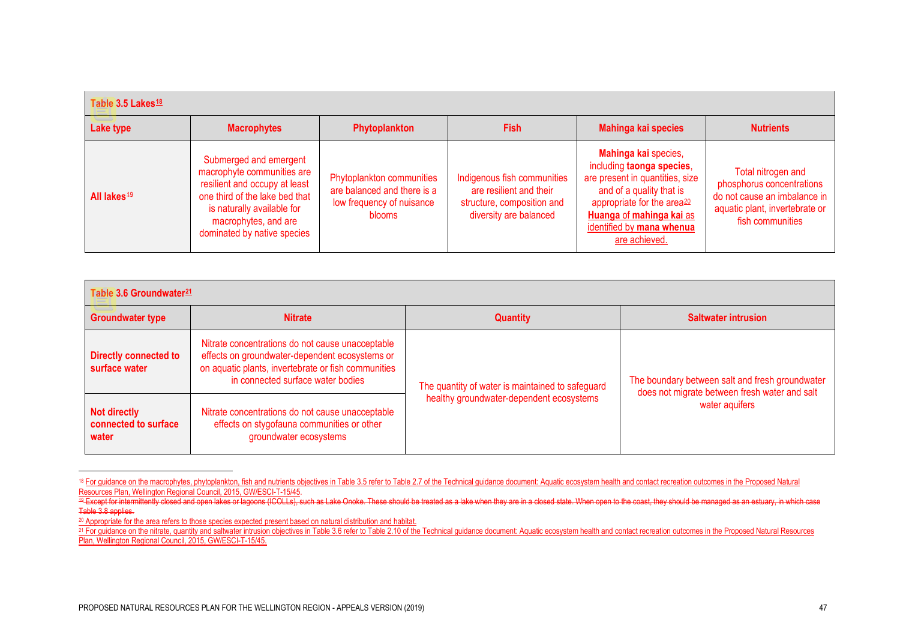<span id="page-8-3"></span><span id="page-8-2"></span><span id="page-8-1"></span><span id="page-8-0"></span>

| Table 3.5 Lakes <sup>18</sup> |                                                                                                                                                                                                              |                                                                                                 |                                                                                                                |                                                                                                                                                                                                                                      |                                                                                                                                       |  |  |  |
|-------------------------------|--------------------------------------------------------------------------------------------------------------------------------------------------------------------------------------------------------------|-------------------------------------------------------------------------------------------------|----------------------------------------------------------------------------------------------------------------|--------------------------------------------------------------------------------------------------------------------------------------------------------------------------------------------------------------------------------------|---------------------------------------------------------------------------------------------------------------------------------------|--|--|--|
| Lake type                     | <b>Macrophytes</b>                                                                                                                                                                                           | Phytoplankton                                                                                   | <b>Fish</b>                                                                                                    | Mahinga kai species                                                                                                                                                                                                                  | <b>Nutrients</b>                                                                                                                      |  |  |  |
| All lakes <sup>49</sup>       | Submerged and emergent<br>macrophyte communities are<br>resilient and occupy at least<br>one third of the lake bed that<br>is naturally available for<br>macrophytes, and are<br>dominated by native species | Phytoplankton communities<br>are balanced and there is a<br>low frequency of nuisance<br>blooms | Indigenous fish communities<br>are resilient and their<br>structure, composition and<br>diversity are balanced | Mahinga kai species,<br>including taonga species,<br>are present in quantities, size<br>and of a quality that is<br>appropriate for the area <sup>20</sup><br>Huanga of mahinga kai as<br>identified by mana whenua<br>are achieved. | Total nitrogen and<br>phosphorus concentrations<br>do not cause an imbalance in<br>aquatic plant, invertebrate or<br>fish communities |  |  |  |

| Table 3.6 Groundwater <sup>21</sup>                  |                                                                                                                                                                                                |                                                  |                                                                 |  |  |  |  |  |
|------------------------------------------------------|------------------------------------------------------------------------------------------------------------------------------------------------------------------------------------------------|--------------------------------------------------|-----------------------------------------------------------------|--|--|--|--|--|
| <b>Groundwater type</b><br><b>Nitrate</b>            |                                                                                                                                                                                                | <b>Quantity</b>                                  | <b>Saltwater intrusion</b>                                      |  |  |  |  |  |
| <b>Directly connected to</b><br>surface water        | Nitrate concentrations do not cause unacceptable<br>effects on groundwater-dependent ecosystems or<br>on aquatic plants, invertebrate or fish communities<br>in connected surface water bodies | The quantity of water is maintained to safeguard | The boundary between salt and fresh groundwater                 |  |  |  |  |  |
| <b>Not directly</b><br>connected to surface<br>water | Nitrate concentrations do not cause unacceptable<br>effects on stygofauna communities or other<br>groundwater ecosystems                                                                       | healthy groundwater-dependent ecosystems         | does not migrate between fresh water and salt<br>water aquifers |  |  |  |  |  |

<sup>&</sup>lt;sup>18</sup> For guidance on the macrophytes, phytoplankton, fish and nutrients objectives in Table 3.5 refer to Table 2.7 of the Technical guidance document: Aquatic ecosystem health and contact recreation outcomes in the Propose Resources Plan, Wellington Regional Council, 2015, GW/ESCI-T-15/45.<br>Resources Plan, Wellington Regional Council, 2015, GW/ESCI-T-15/45.<br><sup>49</sup> Except for intermittently closed and open lakes or lagoons (ICOLLs), such as Lake

Table 3.8 applies.

<sup>&</sup>lt;sup>20</sup> Appropriate for the area refers to those species expected present based on natural distribution and habitat.

<sup>&</sup>lt;sup>21</sup> For guidance on the nitrate, quantity and saltwater intrusion objectives in Table 3.6 refer to Table 2.10 of the Technical guidance document: Aquatic ecosystem health and contact recreation outcomes in the Proposed Na Plan, Wellington Regional Council, 2015, GW/ESCI-T-15/45.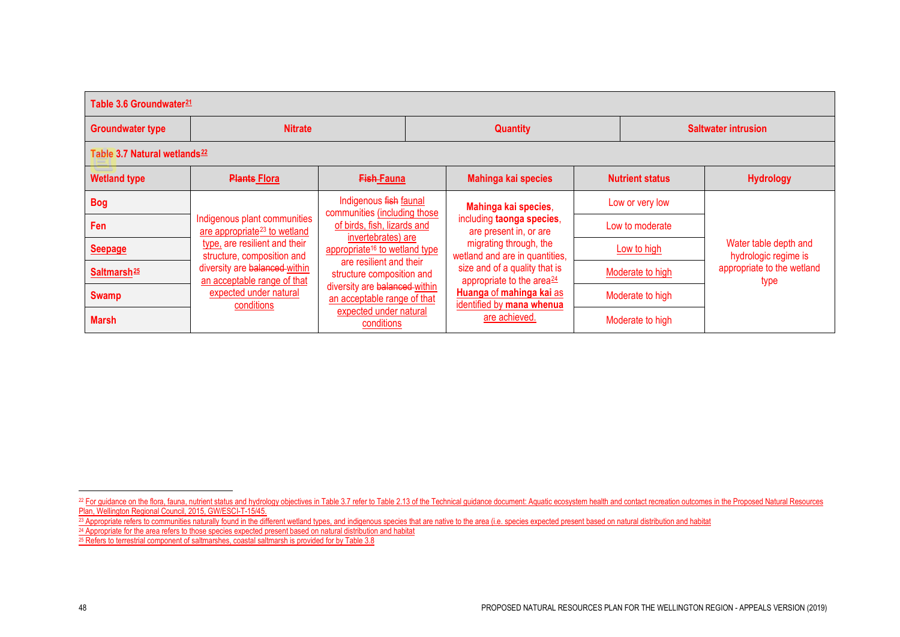<span id="page-9-3"></span><span id="page-9-2"></span><span id="page-9-1"></span><span id="page-9-0"></span>

| Table 3.6 Groundwater <sup>21</sup>      |                                                                                                                      |                                                                                                                                |                                                                        |                                                          |                                    |                            |                                               |  |  |
|------------------------------------------|----------------------------------------------------------------------------------------------------------------------|--------------------------------------------------------------------------------------------------------------------------------|------------------------------------------------------------------------|----------------------------------------------------------|------------------------------------|----------------------------|-----------------------------------------------|--|--|
| <b>Groundwater type</b>                  | <b>Nitrate</b>                                                                                                       |                                                                                                                                |                                                                        | <b>Quantity</b>                                          |                                    | <b>Saltwater intrusion</b> |                                               |  |  |
| Table 3.7 Natural wetlands <sup>22</sup> |                                                                                                                      |                                                                                                                                |                                                                        |                                                          |                                    |                            |                                               |  |  |
| <b>Wetland type</b>                      | <b>Plants Flora</b>                                                                                                  | <b>Fish-Fauna</b>                                                                                                              |                                                                        | Mahinga kai species                                      | <b>Nutrient status</b>             |                            | <b>Hydrology</b>                              |  |  |
| <b>Bog</b>                               |                                                                                                                      | Indigenous fish faunal                                                                                                         |                                                                        | Mahinga kai species,                                     |                                    | Low or very low            |                                               |  |  |
| Fen                                      | Indigenous plant communities<br>are appropriate <sup>23</sup> to wetland                                             | communities (including those<br>of birds, fish, lizards and<br>invertebrates) are<br>appropriate <sup>16</sup> to wetland type |                                                                        | including taonga species,<br>are present in, or are      |                                    | Low to moderate            |                                               |  |  |
| <b>Seepage</b>                           | type, are resilient and their<br>structure, composition and                                                          |                                                                                                                                |                                                                        | migrating through, the<br>wetland and are in quantities, |                                    | Low to high                | Water table depth and<br>hydrologic regime is |  |  |
| Saltmarsh <sup>25</sup>                  | are resilient and their<br>diversity are balanced within<br>structure composition and<br>an acceptable range of that | size and of a quality that is<br>appropriate to the area <sup>24</sup>                                                         |                                                                        | Moderate to high                                         | appropriate to the wetland<br>type |                            |                                               |  |  |
| <b>Swamp</b>                             | expected under natural<br>conditions                                                                                 | diversity are balanced within<br>an acceptable range of that                                                                   | Huanga of mahinga kai as<br>identified by mana whenua<br>are achieved. |                                                          |                                    | Moderate to high           |                                               |  |  |
| <b>Marsh</b>                             |                                                                                                                      | expected under natural<br>conditions                                                                                           |                                                                        |                                                          | Moderate to high                   |                            |                                               |  |  |

- <sup>23</sup> Appropriate refers to communities naturally found in the different wetland types, and indigenous species that are native to the area (i.e. species expected present based on natural distribution and habitat
- <sup>24</sup> Appropriate for the area refers to those species expected present based on natural distribution and habitat
- $25$  Refers to terrestrial component of saltmarshes, coastal saltmarsh is provided for by Table 3.8

<sup>&</sup>lt;sup>22</sup> For guidance on the flora, fauna, nutrient status and hydrology objectives in Table 3.7 refer to Table 2.13 of the Technical guidance document: Aquatic ecosystem health and contact recreation outcomes in the Proposed Plan, Wellington Regional Council, 2015, GW/ESCI-T-15/45.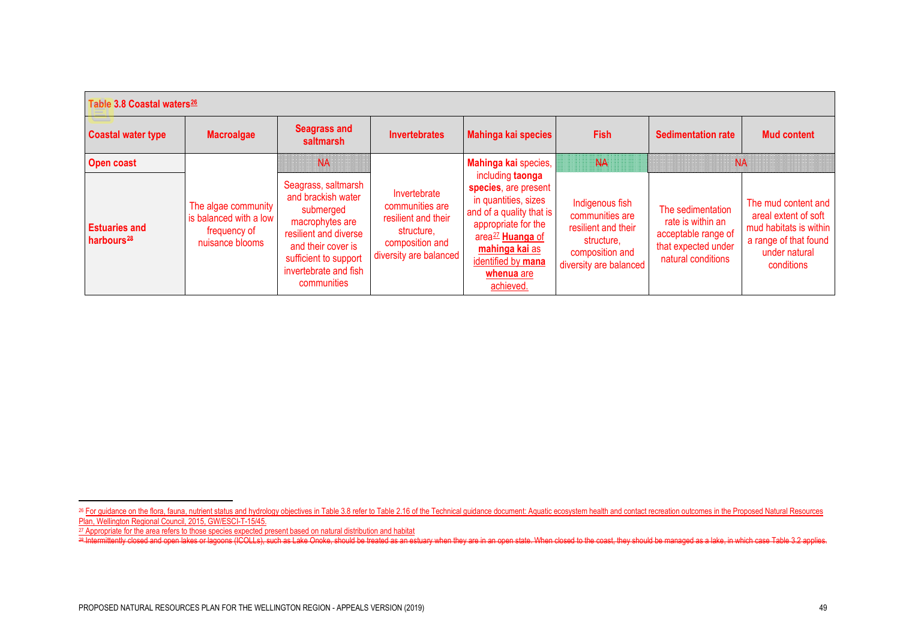<span id="page-10-2"></span><span id="page-10-1"></span><span id="page-10-0"></span>

| Table 3.8 Coastal waters <sup>26</sup>         |                                                                                  |                                                                                                                                                                                           |                                                                                                                   |                                                                                                                                                                                                                        |                                                                                                                      |                                                                                                            |                                                                                                                               |  |  |
|------------------------------------------------|----------------------------------------------------------------------------------|-------------------------------------------------------------------------------------------------------------------------------------------------------------------------------------------|-------------------------------------------------------------------------------------------------------------------|------------------------------------------------------------------------------------------------------------------------------------------------------------------------------------------------------------------------|----------------------------------------------------------------------------------------------------------------------|------------------------------------------------------------------------------------------------------------|-------------------------------------------------------------------------------------------------------------------------------|--|--|
| <b>Coastal water type</b>                      | <b>Macroalgae</b>                                                                | <b>Seagrass and</b><br>saltmarsh                                                                                                                                                          | <b>Invertebrates</b>                                                                                              | Mahinga kai species                                                                                                                                                                                                    | <b>Fish</b>                                                                                                          | <b>Sedimentation rate</b>                                                                                  | <b>Mud content</b>                                                                                                            |  |  |
| <b>Open coast</b>                              |                                                                                  | NA                                                                                                                                                                                        |                                                                                                                   | Mahinga kai species,                                                                                                                                                                                                   | <b>NA</b>                                                                                                            | NA                                                                                                         |                                                                                                                               |  |  |
| <b>Estuaries and</b><br>harbours <sup>28</sup> | The algae community<br>is balanced with a low<br>frequency of<br>nuisance blooms | Seagrass, saltmarsh<br>and brackish water<br>submerged<br>macrophytes are<br>resilient and diverse<br>and their cover is<br>sufficient to support<br>invertebrate and fish<br>communities | Invertebrate<br>communities are<br>resilient and their<br>structure,<br>composition and<br>diversity are balanced | including taonga<br>species, are present<br>in quantities, sizes<br>and of a quality that is<br>appropriate for the<br>area <sup>27</sup> Huanga of<br>mahinga kai as<br>identified by mana<br>whenua are<br>achieved. | Indigenous fish<br>communities are<br>resilient and their<br>structure,<br>composition and<br>diversity are balanced | The sedimentation<br>rate is within an<br>acceptable range of<br>that expected under<br>natural conditions | The mud content and<br>areal extent of soft<br>mud habitats is within<br>a range of that found<br>under natural<br>conditions |  |  |

<sup>27</sup> Appropriate for the area refers to those species expected present based on natural distribution and habitat

<sup>&</sup>lt;sup>26</sup> For guidance on the flora, fauna, nutrient status and hydrology objectives in Table 3.8 refer to Table 2.16 of the Technical guidance document: Aquatic ecosystem health and contact recreation outcomes in the Proposed Plan, Wellington Regional Council, 2015, GW/ESCI-T-15/45.

<sup>&</sup>lt;sup>28</sup> Intermittently closed and open lakes or lagoons (ICOLLs), such as Lake Onoke, should be treated as an estuary when they are in an open state. When closed to the coast, they should be managed as a lake, in which case T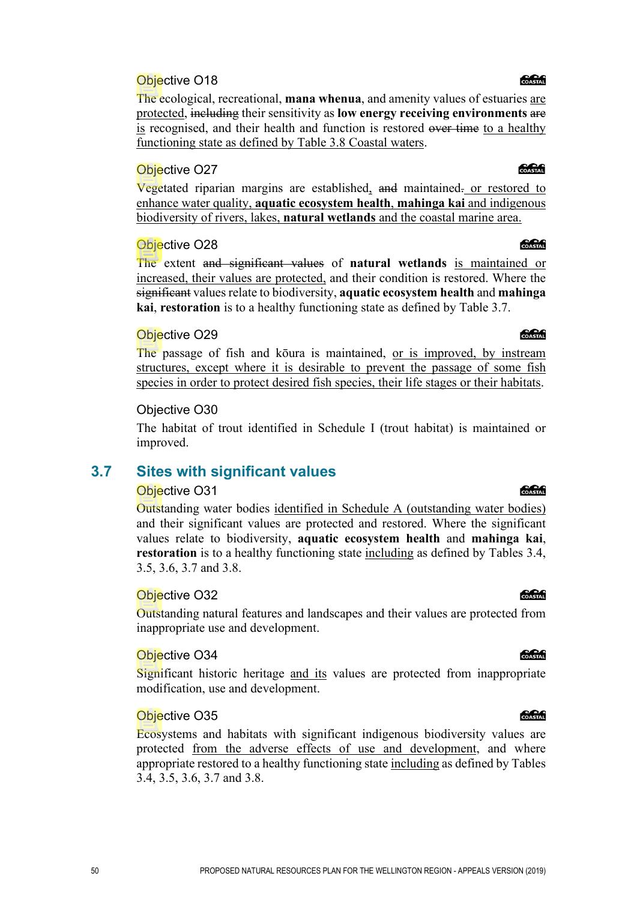The ecological, recreational, **mana whenua**, and amenity values of estuaries are protected, including their sensitivity as **low energy receiving environments** are is recognised, and their health and function is restored over time to a healthy functioning state as defined by Table 3.8 Coastal waters.

#### Objective O27

Vegetated riparian margins are established, and maintained. or restored to enhance water quality, **aquatic ecosystem health**, **mahinga kai** and indigenous biodiversity of rivers, lakes, **natural wetlands** and the coastal marine area.

#### Objective O28

The extent and significant values of **natural wetlands** is maintained or increased, their values are protected, and their condition is restored. Where the significant values relate to biodiversity, **aquatic ecosystem health** and **mahinga kai**, **restoration** is to a healthy functioning state as defined by Table 3.7.

#### Objective O29

The passage of fish and kōura is maintained, <u>or is improved</u>, by instream structures, except where it is desirable to prevent the passage of some fish species in order to protect desired fish species, their life stages or their habitats.

#### Objective O30

The habitat of trout identified in Schedule I (trout habitat) is maintained or improved.

### **3.7 Sites with significant values**

#### Objective O31

Outstanding water bodies identified in Schedule A (outstanding water bodies) and their significant values are protected and restored. Where the significant values relate to biodiversity, **aquatic ecosystem health** and **mahinga kai**, **restoration** is to a healthy functioning state including as defined by Tables 3.4, 3.5, 3.6, 3.7 and 3.8.

#### Objective O32

Outstanding natural features and landscapes and their values are protected from inappropriate use and development.

#### Objective O34

Significant historic heritage and its values are protected from inappropriate modification, use and development.

#### Objective O35

Ecosystems and habitats with significant indigenous biodiversity values are protected from the adverse effects of use and development, and where appropriate restored to a healthy functioning state including as defined by Tables 3.4, 3.5, 3.6, 3.7 and 3.8.

#### COASTAL

### COASTAL

#### COASTAL

**Concrete** 

#### COASTAL

**Concrete** 

### COASTAL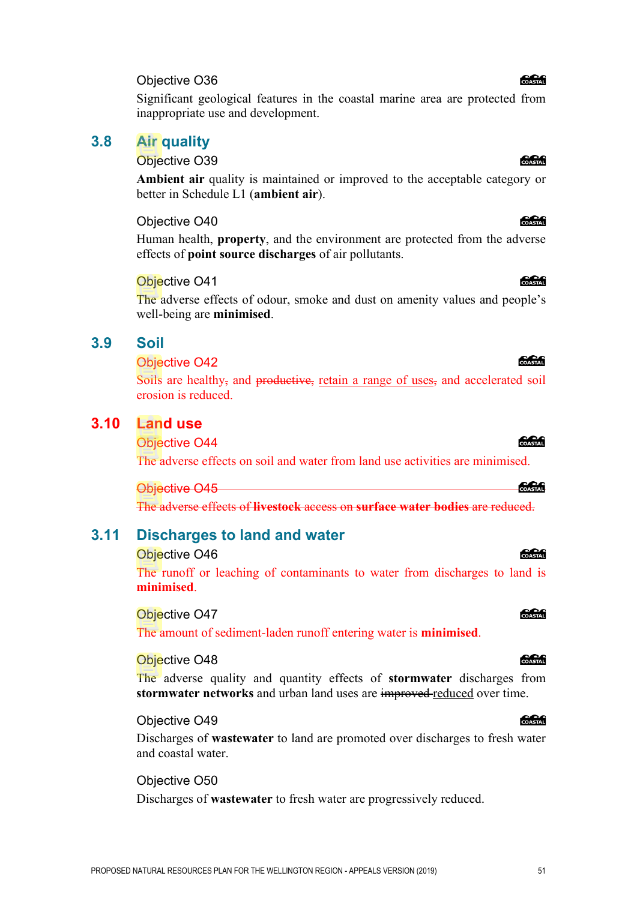Significant geological features in the coastal marine area are protected from inappropriate use and development.

#### **3.8 Air quality**

#### Objective O39

**Ambient air** quality is maintained or improved to the acceptable category or better in Schedule L1 (**ambient air**).

#### Objective O40

Human health, **property**, and the environment are protected from the adverse effects of **point source discharges** of air pollutants.

#### Objective O41

The adverse effects of odour, smoke and dust on amenity values and people's well-being are **minimised**.

#### **3.9 Soil**

#### Objective O42

Soils are healthy, and productive, retain a range of uses, and accelerated soil erosion is reduced.

#### **3.10 Land use**

Objective O44

The adverse effects on soil and water from land use activities are minimised.

#### Objective O45

The adverse effects of **livestock** access on **surface water bodies** are reduced.

#### **3.11 Discharges to land and water**

#### Objective O46

The runoff or leaching of contaminants to water from discharges to land is **minimised**.

#### Objective O47

The amount of sediment-laden runoff entering water is **minimised**.

#### Objective O48

The adverse quality and quantity effects of **stormwater** discharges from **stormwater networks** and urban land uses are improved reduced over time.

#### Objective O49

Discharges of **wastewater** to land are promoted over discharges to fresh water and coastal water.

#### Objective O50

Discharges of **wastewater** to fresh water are progressively reduced.

#### **COASTAL**

COASTAL

#### COASTAL

க்கி

### COASTAL

#### **COASTAIL**

# COASTAL

#### PROPOSED NATURAL RESOURCES PLAN FOR THE WELLINGTON REGION - APPEALS VERSION (2019) 51

### COASTAL

*Colection* 

**Concrete**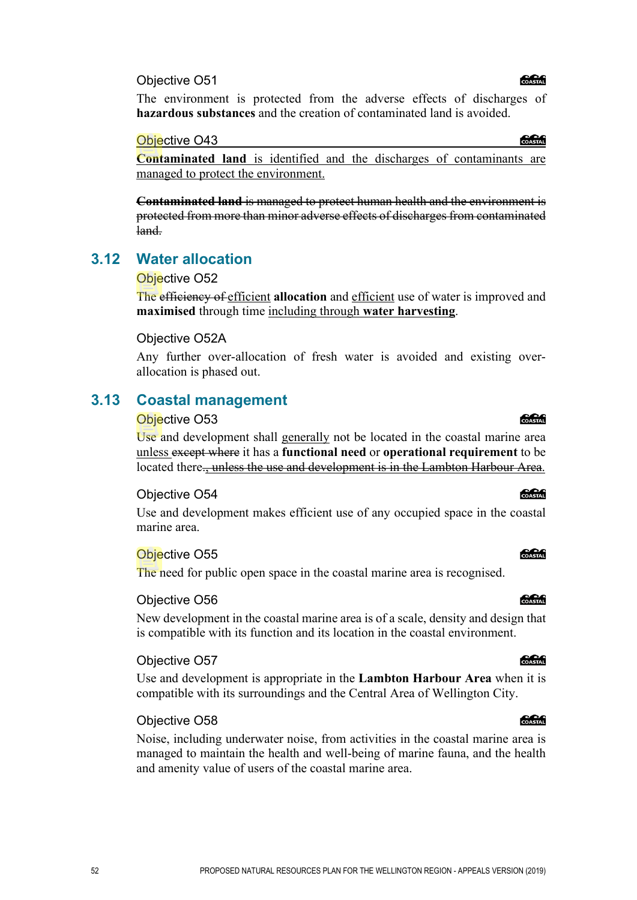COASTAL

The environment is protected from the adverse effects of discharges of **hazardous substances** and the creation of contaminated land is avoided.

Objective O43

COASTAL

**Contaminated land** is identified and the discharges of contaminants are managed to protect the environment.

**Contaminated land** is managed to protect human health and the environment is protected from more than minor adverse effects of discharges from contaminated land.

### **3.12 Water allocation**

#### Objective O52

The efficiency of efficient **allocation** and efficient use of water is improved and **maximised** through time including through **water harvesting**.

#### Objective O52A

Any further over-allocation of fresh water is avoided and existing overallocation is phased out.

### **3.13 Coastal management**

#### Objective O53

Use and development shall generally not be located in the coastal marine area unless except where it has a **functional need** or **operational requirement** to be located there., unless the use and development is in the Lambton Harbour Area.

#### Objective O54

Use and development makes efficient use of any occupied space in the coastal marine area.

#### Objective O55

The need for public open space in the coastal marine area is recognised.

#### Objective O56

New development in the coastal marine area is of a scale, density and design that is compatible with its function and its location in the coastal environment.

#### Objective O57

Use and development is appropriate in the **Lambton Harbour Area** when it is compatible with its surroundings and the Central Area of Wellington City.

#### Objective O58

Noise, including underwater noise, from activities in the coastal marine area is managed to maintain the health and well-being of marine fauna, and the health and amenity value of users of the coastal marine area.

## COASTAL

**CACA** 

COASTAL

COASTAL

#### COASTAL